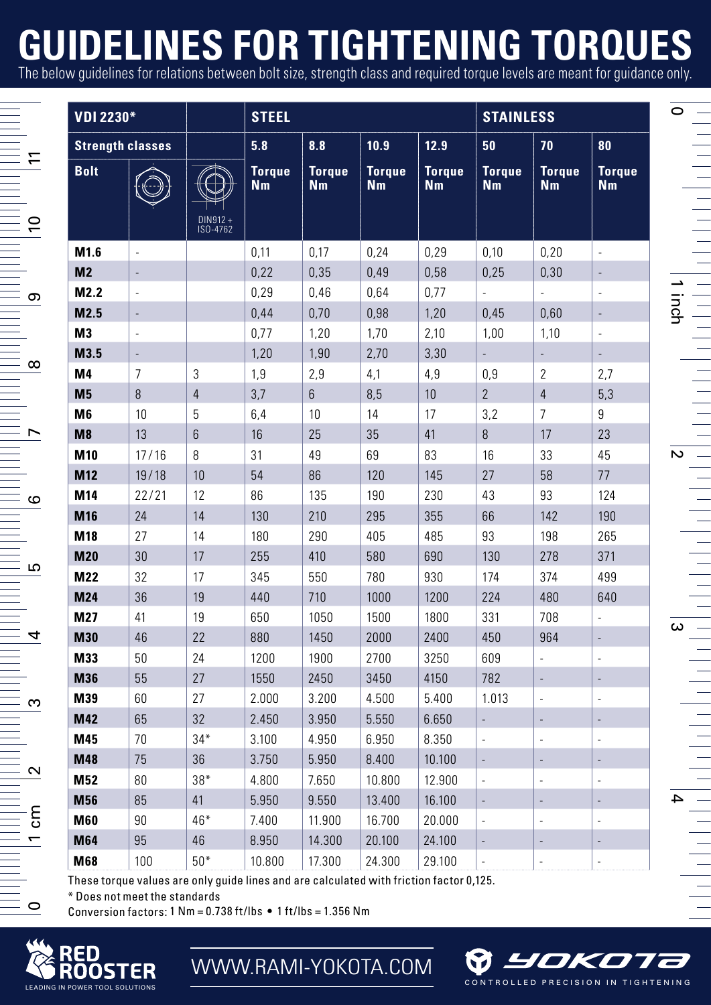## **GUIDELINES FOR TIGHTENING TORQUES**

The below guidelines for relations between bolt size, strength class and required torque levels are meant for guidance only.

| VDI 2230*<br><b>Strength classes</b> |                |                 | <b>STEEL</b>               |                            |                                 |                            | <b>STAINLESS</b>         |                            |                            |
|--------------------------------------|----------------|-----------------|----------------------------|----------------------------|---------------------------------|----------------------------|--------------------------|----------------------------|----------------------------|
|                                      |                |                 | 5.8                        | 8.8                        | 10.9                            | 12.9                       | 50                       | 70                         | 80                         |
| <b>Bolt</b>                          |                | ISO-4762        | <b>Torque</b><br><b>Nm</b> | <b>Torque</b><br><b>Nm</b> | <b>Torque</b><br>N <sub>m</sub> | <b>Torque</b><br><b>Nm</b> | <b>Torque</b><br>Nm      | <b>Torque</b><br><b>Nm</b> | <b>Torque</b><br><b>Nm</b> |
| M1.6                                 |                |                 | 0,11                       | 0.17                       | 0.24                            | 0,29                       | 0,10                     | 0,20                       |                            |
| M <sub>2</sub>                       |                |                 | 0,22                       | 0,35                       | 0.49                            | 0,58                       | 0,25                     | 0,30                       |                            |
| M2.2                                 | i,             |                 | 0,29                       | 0,46                       | 0,64                            | 0,77                       |                          | i,                         | i,                         |
| M2.5                                 | $\frac{1}{2}$  |                 | 0,44                       | 0,70                       | 0,98                            | 1,20                       | 0,45                     | 0,60                       | $\frac{1}{2}$              |
| M <sub>3</sub>                       | i.             |                 | 0,77                       | 1,20                       | 1,70                            | 2,10                       | 1,00                     | 1,10                       | ä,                         |
| M3.5                                 |                |                 | 1,20                       | 1,90                       | 2,70                            | 3,30                       | ×.                       | i,                         | L.                         |
| M <sub>4</sub>                       | $\overline{7}$ | 3               | 1,9                        | 2,9                        | 4,1                             | 4,9                        | 0,9                      | $\overline{2}$             | 2,7                        |
| M <sub>5</sub>                       | 8              | $\overline{4}$  | 3,7                        | $6\overline{6}$            | 8,5                             | 10                         | $\overline{2}$           | $\sqrt{4}$                 | 5,3                        |
| M <sub>6</sub>                       | 10             | 5               | 6,4                        | 10                         | 14                              | 17                         | 3,2                      | $\overline{7}$             | 9                          |
| M8                                   | 13             | $6\overline{6}$ | 16                         | 25                         | 35                              | 41                         | $\overline{8}$           | 17                         | 23                         |
| M10                                  | 17/16          | 8               | 31                         | 49                         | 69                              | 83                         | 16                       | 33                         | 45                         |
| M12                                  | 19/18          | 10              | 54                         | 86                         | 120                             | 145                        | 27                       | 58                         | 77                         |
| M14                                  | 22/21          | 12              | 86                         | 135                        | 190                             | 230                        | 43                       | 93                         | 124                        |
| M16                                  | 24             | 14              | 130                        | 210                        | 295                             | 355                        | 66                       | 142                        | 190                        |
| M18                                  | 27             | 14              | 180                        | 290                        | 405                             | 485                        | 93                       | 198                        | 265                        |
| M20                                  | 30             | 17              | 255                        | 410                        | 580                             | 690                        | 130                      | 278                        | 371                        |
| M22                                  | 32             | 17              | 345                        | 550                        | 780                             | 930                        | 174                      | 374                        | 499                        |
| <b>M24</b>                           | 36             | 19              | 440                        | 710                        | 1000                            | 1200                       | 224                      | 480                        | 640                        |
| M27                                  | 41             | 19              | 650                        | 1050                       | 1500                            | 1800                       | 331                      | 708                        |                            |
| M30                                  | 46             | 22              | 880                        | 1450                       | 2000                            | 2400                       | 450                      | 964                        | ä,                         |
| M33                                  | 50             | 24              | 1200                       | 1900                       | 2700                            | 3250                       | 609                      |                            |                            |
| M36                                  | 55             | 27              | 1550                       | 2450                       | 3450                            | 4150                       | 782                      | ×                          |                            |
| M39                                  | 60             | 27              | 2.000                      | 3.200                      | 4.500                           | 5.400                      | 1.013                    | ÷,                         |                            |
| <b>M42</b>                           | 65             | 32              | 2.450                      | 3.950                      | 5.550                           | 6.650                      | L,                       | ÷,                         |                            |
| M45                                  | 70             | $34*$           | 3.100                      | 4.950                      | 6.950                           | 8.350                      | ×,                       | ä,                         | ä,                         |
| M48                                  | 75             | 36              | 3.750                      | 5.950                      | 8.400                           | 10.100                     | L,                       |                            |                            |
| <b>M52</b>                           | 80             | $38*$           | 4.800                      | 7.650                      | 10.800                          | 12.900                     | i,                       | ×                          |                            |
| M56                                  | 85             | 41              | 5.950                      | 9.550                      | 13.400                          | 16.100                     | $\overline{\phantom{a}}$ | ×                          |                            |
| M60                                  | 90             | 46*             | 7.400                      | 11.900                     | 16.700                          | 20.000                     | ×,                       | i,                         | ä,                         |
| M64                                  | 95             | 46              | 8.950                      | 14.300                     | 20.100                          | 24.100                     | ÷,                       |                            |                            |
| M68                                  | 100            | $50*$           | 10.800                     | 17.300                     | 24.300                          | 29.100                     | $\overline{\phantom{a}}$ | ä,                         | ï                          |

These torque values are only guide lines and are calculated with friction factor 0,125.

\* Does not meet the standards

Conversion factors:  $1 \text{ Nm} = 0.738 \text{ ft/lbs} \cdot 1 \text{ ft/lbs} = 1.356 \text{ Nm}$ 



 $\sim$ 

 $\epsilon$ 

ഥ

 $\overline{4}$ 

ო

 $\overline{ }$ 

 $\overline{a}$ 

 $\overline{a}$ 

၈

 $\infty$ 



**& YOKOT** CONTROLLED PRECISION IN TIGHTENING